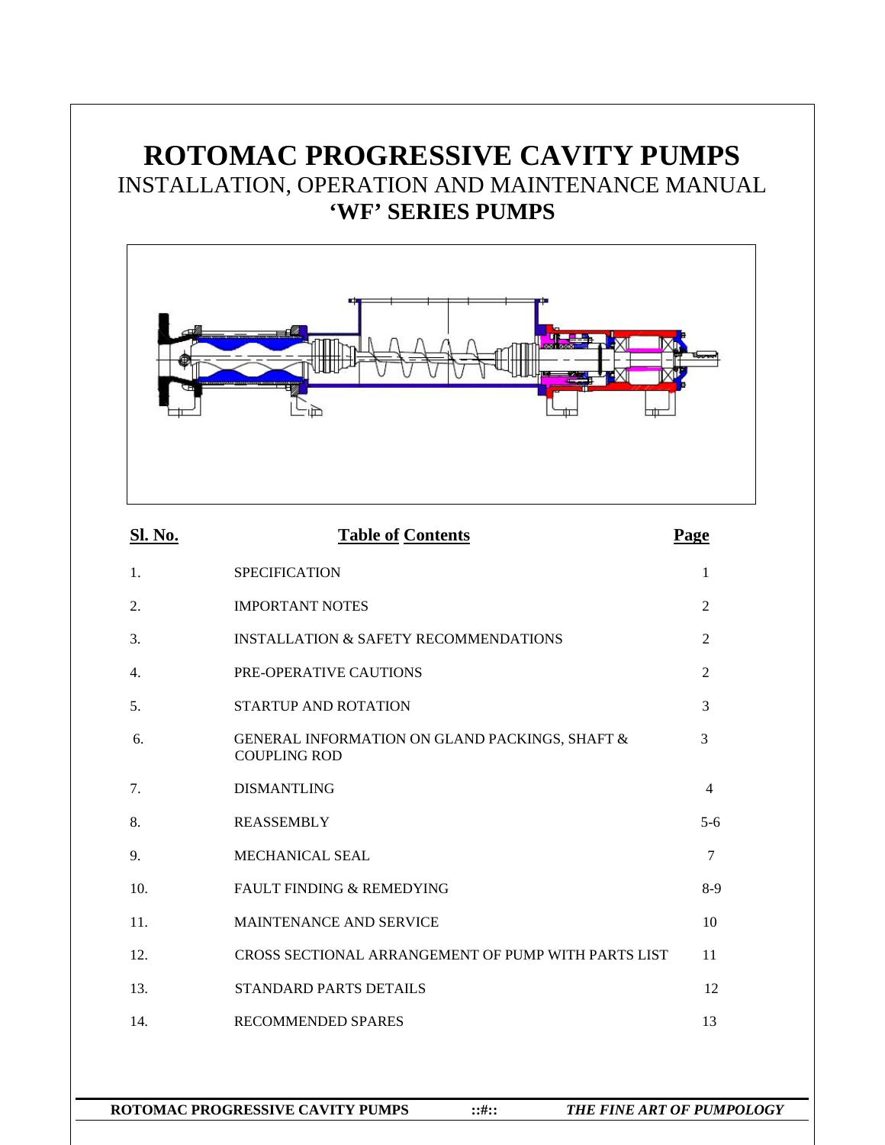# **ROTOMAC PROGRESSIVE CAVITY PUMPS**  INSTALLATION, OPERATION AND MAINTENANCE MANUAL **'WF' SERIES PUMPS**



| Sl. No.        | <b>Table of Contents</b>                                              | Page           |
|----------------|-----------------------------------------------------------------------|----------------|
| 1.             | <b>SPECIFICATION</b>                                                  | 1              |
| 2.             | <b>IMPORTANT NOTES</b>                                                | $\overline{2}$ |
| 3.             | <b>INSTALLATION &amp; SAFETY RECOMMENDATIONS</b>                      | $\overline{c}$ |
| 4.             | PRE-OPERATIVE CAUTIONS                                                | $\overline{2}$ |
| 5 <sub>1</sub> | STARTUP AND ROTATION                                                  | 3              |
| 6.             | GENERAL INFORMATION ON GLAND PACKINGS, SHAFT &<br><b>COUPLING ROD</b> | 3              |
| 7.             | <b>DISMANTLING</b>                                                    | $\overline{4}$ |
| 8.             | <b>REASSEMBLY</b>                                                     | $5 - 6$        |
| 9.             | <b>MECHANICAL SEAL</b>                                                | $\tau$         |
| 10.            | <b>FAULT FINDING &amp; REMEDYING</b>                                  | $8-9$          |
| 11.            | MAINTENANCE AND SERVICE                                               | 10             |
| 12.            | CROSS SECTIONAL ARRANGEMENT OF PUMP WITH PARTS LIST                   | 11             |
| 13.            | <b>STANDARD PARTS DETAILS</b>                                         | 12             |
| 14.            | <b>RECOMMENDED SPARES</b>                                             | 13             |
|                |                                                                       |                |
|                |                                                                       |                |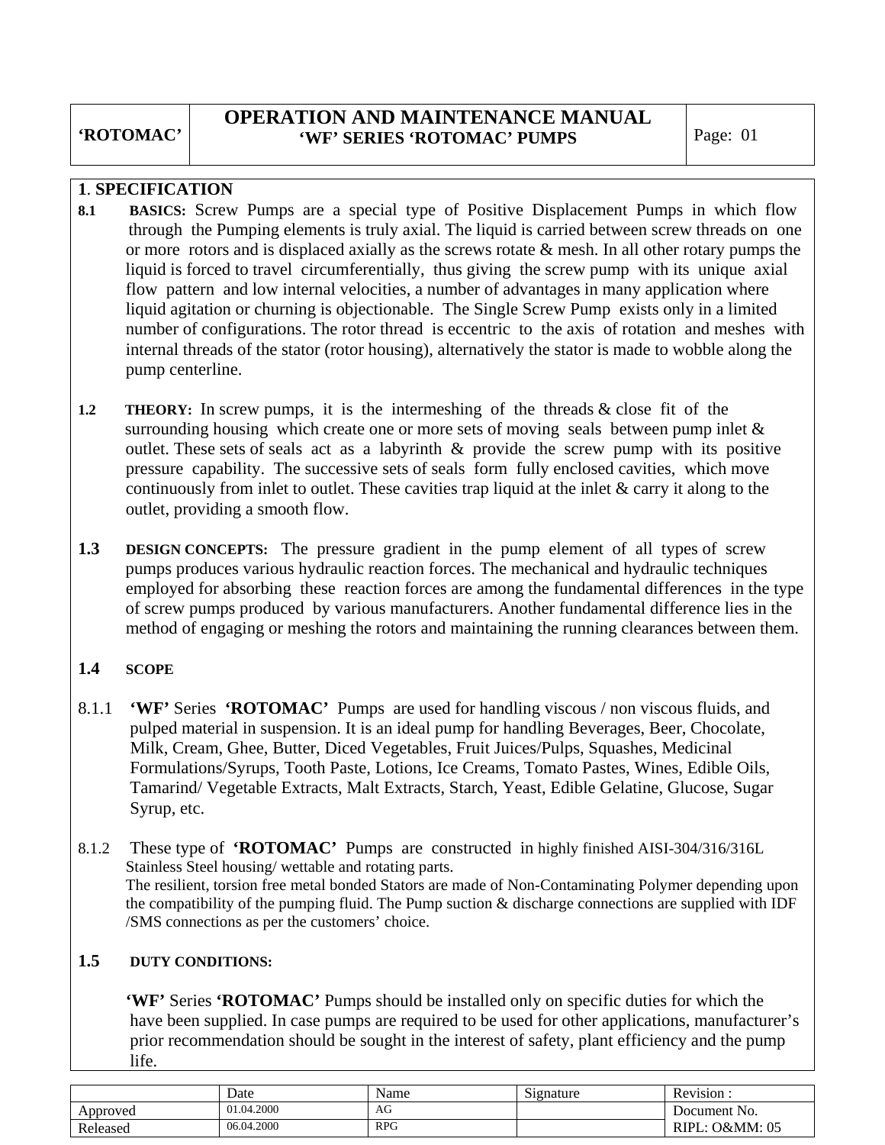# **OPERATION AND MAINTENANCE MANUAL 'WF' SERIES 'ROTOMAC' PUMPS** | Page: 01

### **1**. **SPECIFICATION**

- **8.1 BASICS:** Screw Pumps are a special type of Positive Displacement Pumps in which flow through the Pumping elements is truly axial. The liquid is carried between screw threads on one or more rotors and is displaced axially as the screws rotate  $\&$  mesh. In all other rotary pumps the liquid is forced to travel circumferentially, thus giving the screw pump with its unique axial flow pattern and low internal velocities, a number of advantages in many application where liquid agitation or churning is objectionable. The Single Screw Pump exists only in a limited number of configurations. The rotor thread is eccentric to the axis of rotation and meshes with internal threads of the stator (rotor housing), alternatively the stator is made to wobble along the pump centerline.
- **1.2 THEORY:** In screw pumps, it is the intermeshing of the threads & close fit of the surrounding housing which create one or more sets of moving seals between pump inlet  $\&$  outlet. These sets of seals act as a labyrinth & provide the screw pump with its positive pressure capability. The successive sets of seals form fully enclosed cavities, which move continuously from inlet to outlet. These cavities trap liquid at the inlet & carry it along to the outlet, providing a smooth flow.
- **1.3 DESIGN CONCEPTS:** The pressure gradient in the pump element of all types of screw pumps produces various hydraulic reaction forces. The mechanical and hydraulic techniques employed for absorbing these reaction forces are among the fundamental differences in the type of screw pumps produced by various manufacturers. Another fundamental difference lies in the method of engaging or meshing the rotors and maintaining the running clearances between them.

# **1.4 SCOPE**

- 8.1.1 **'WF'** Series **'ROTOMAC'** Pumps are used for handling viscous / non viscous fluids, and pulped material in suspension. It is an ideal pump for handling Beverages, Beer, Chocolate, Milk, Cream, Ghee, Butter, Diced Vegetables, Fruit Juices/Pulps, Squashes, Medicinal Formulations/Syrups, Tooth Paste, Lotions, Ice Creams, Tomato Pastes, Wines, Edible Oils, Tamarind/ Vegetable Extracts, Malt Extracts, Starch, Yeast, Edible Gelatine, Glucose, Sugar Syrup, etc.
- 8.1.2 These type of **'ROTOMAC'** Pumps are constructed in highly finished AISI-304/316/316L Stainless Steel housing/ wettable and rotating parts. The resilient, torsion free metal bonded Stators are made of Non-Contaminating Polymer depending upon the compatibility of the pumping fluid. The Pump suction & discharge connections are supplied with IDF /SMS connections as per the customers' choice.

### **1.5 DUTY CONDITIONS:**

 **'WF'** Series **'ROTOMAC'** Pumps should be installed only on specific duties for which the have been supplied. In case pumps are required to be used for other applications, manufacturer's prior recommendation should be sought in the interest of safety, plant efficiency and the pump life.

|          | Date       | Name         | Signature | Revision :           |
|----------|------------|--------------|-----------|----------------------|
| Approved | 01.04.2000 | AG<br>$\sim$ |           | Document No.         |
| Released | 06.04.2000 | <b>RPG</b>   |           | .: O&MM: 05<br>RIPL: |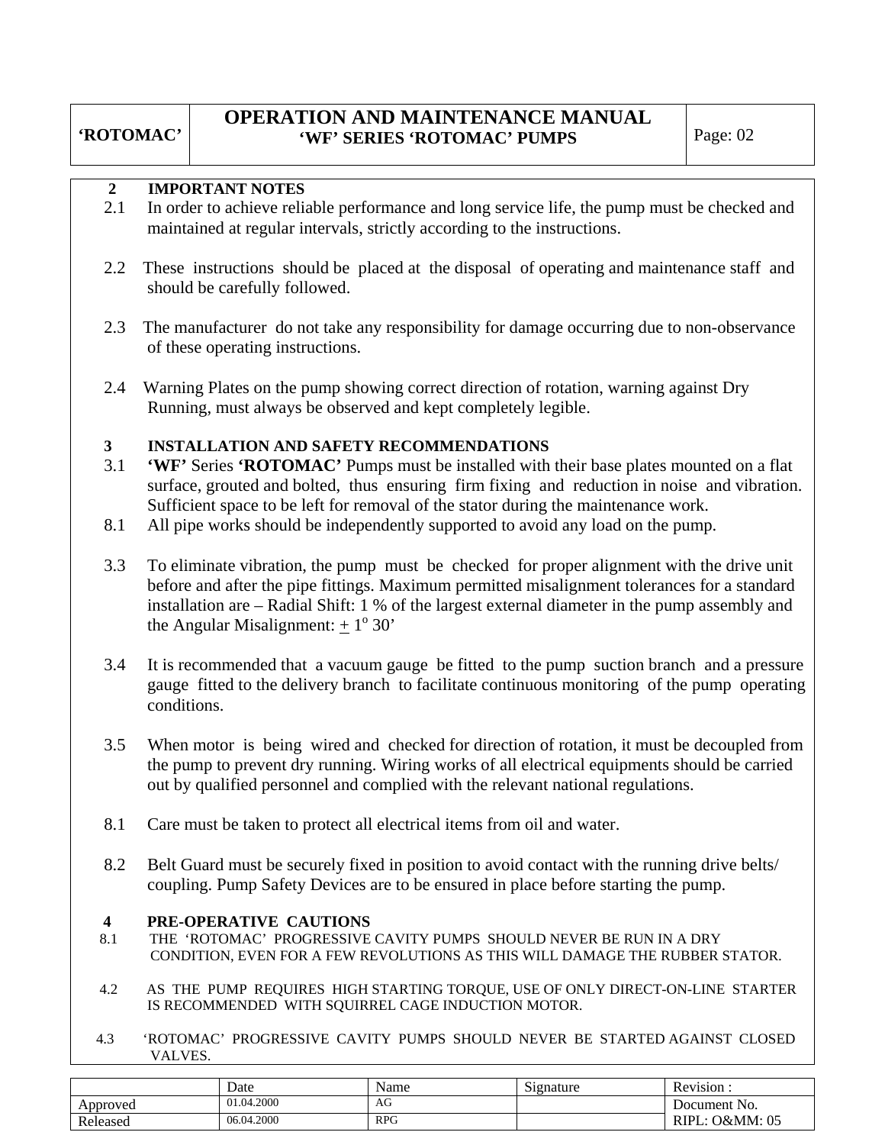### **2 IMPORTANT NOTES**

- 2.1 In order to achieve reliable performance and long service life, the pump must be checked and maintained at regular intervals, strictly according to the instructions.
- 2.2 These instructions should be placed at the disposal of operating and maintenance staff and should be carefully followed.
- 2.3 The manufacturer do not take any responsibility for damage occurring due to non-observance of these operating instructions.
- 2.4 Warning Plates on the pump showing correct direction of rotation, warning against Dry Running, must always be observed and kept completely legible.

### **3 INSTALLATION AND SAFETY RECOMMENDATIONS**

- 3.1 **'WF'** Series **'ROTOMAC'** Pumps must be installed with their base plates mounted on a flat surface, grouted and bolted, thus ensuring firm fixing and reduction in noise and vibration. Sufficient space to be left for removal of the stator during the maintenance work.
- 8.1 All pipe works should be independently supported to avoid any load on the pump.
- 3.3 To eliminate vibration, the pump must be checked for proper alignment with the drive unit before and after the pipe fittings. Maximum permitted misalignment tolerances for a standard installation are – Radial Shift: 1 % of the largest external diameter in the pump assembly and the Angular Misalignment:  $\pm 1^{\circ} 30'$
- 3.4 It is recommended that a vacuum gauge be fitted to the pump suction branch and a pressure gauge fitted to the delivery branch to facilitate continuous monitoring of the pump operating conditions.
- 3.5 When motor is being wired and checked for direction of rotation, it must be decoupled from the pump to prevent dry running. Wiring works of all electrical equipments should be carried out by qualified personnel and complied with the relevant national regulations.
- 8.1 Care must be taken to protect all electrical items from oil and water.
- 8.2 Belt Guard must be securely fixed in position to avoid contact with the running drive belts/ coupling. Pump Safety Devices are to be ensured in place before starting the pump.

#### **4 PRE-OPERATIVE CAUTIONS**

- 8.1 THE 'ROTOMAC' PROGRESSIVE CAVITY PUMPS SHOULD NEVER BE RUN IN A DRY CONDITION, EVEN FOR A FEW REVOLUTIONS AS THIS WILL DAMAGE THE RUBBER STATOR.
- 4.2 AS THE PUMP REQUIRES HIGH STARTING TORQUE, USE OF ONLY DIRECT-ON-LINE STARTER IS RECOMMENDED WITH SQUIRREL CAGE INDUCTION MOTOR.
- 4.3 'ROTOMAC' PROGRESSIVE CAVITY PUMPS SHOULD NEVER BE STARTED AGAINST CLOSED VALVES.

|          | Date       | Name       | Signature | Revision.                     |
|----------|------------|------------|-----------|-------------------------------|
| Approved | 01.04.2000 | AG         |           | Document No.                  |
| Released | 06.04.2000 | <b>RPG</b> |           | <b>O&amp;MM</b> : 05<br>RIPL. |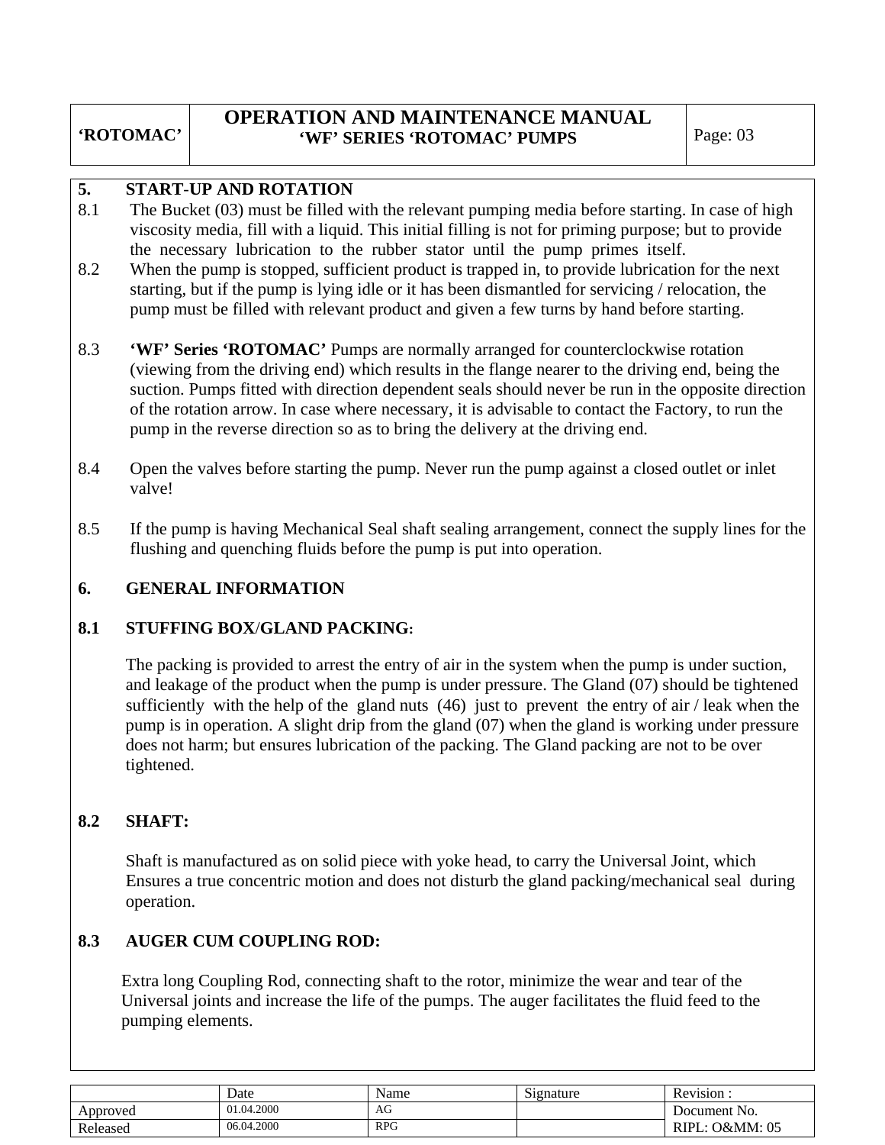# **OPERATION AND MAINTENANCE MANUAL 'WF' SERIES 'ROTOMAC' PUMPS** | Page: 03

### **5. START**-**UP AND ROTATION**

- 8.1 The Bucket (03) must be filled with the relevant pumping media before starting. In case of high viscosity media, fill with a liquid. This initial filling is not for priming purpose; but to provide the necessary lubrication to the rubber stator until the pump primes itself.
- 8.2 When the pump is stopped, sufficient product is trapped in, to provide lubrication for the next starting, but if the pump is lying idle or it has been dismantled for servicing / relocation, the pump must be filled with relevant product and given a few turns by hand before starting.
- 8.3 **'WF' Series 'ROTOMAC'** Pumps are normally arranged for counterclockwise rotation (viewing from the driving end) which results in the flange nearer to the driving end, being the suction. Pumps fitted with direction dependent seals should never be run in the opposite direction of the rotation arrow. In case where necessary, it is advisable to contact the Factory, to run the pump in the reverse direction so as to bring the delivery at the driving end.
- 8.4 Open the valves before starting the pump. Never run the pump against a closed outlet or inlet valve!
- 8.5 If the pump is having Mechanical Seal shaft sealing arrangement, connect the supply lines for the flushing and quenching fluids before the pump is put into operation.

# **6. GENERAL INFORMATION**

### **8.1 STUFFING BOX**/**GLAND PACKING:**

 The packing is provided to arrest the entry of air in the system when the pump is under suction, and leakage of the product when the pump is under pressure. The Gland (07) should be tightened sufficiently with the help of the gland nuts  $(46)$  just to prevent the entry of air / leak when the pump is in operation. A slight drip from the gland (07) when the gland is working under pressure does not harm; but ensures lubrication of the packing. The Gland packing are not to be over tightened.

# **8.2 SHAFT:**

 Shaft is manufactured as on solid piece with yoke head, to carry the Universal Joint, which Ensures a true concentric motion and does not disturb the gland packing/mechanical seal during operation.

# **8.3 AUGER CUM COUPLING ROD:**

Extra long Coupling Rod, connecting shaft to the rotor, minimize the wear and tear of the Universal joints and increase the life of the pumps. The auger facilitates the fluid feed to the pumping elements.

|          | Date       | Name       | $\sim$<br>Signature | Revision:            |
|----------|------------|------------|---------------------|----------------------|
| Approved | 01.04.2000 | AU         |                     | Document No.         |
| Released | 06.04.2000 | <b>RPG</b> |                     | RIPL.<br>L: O&MM: 05 |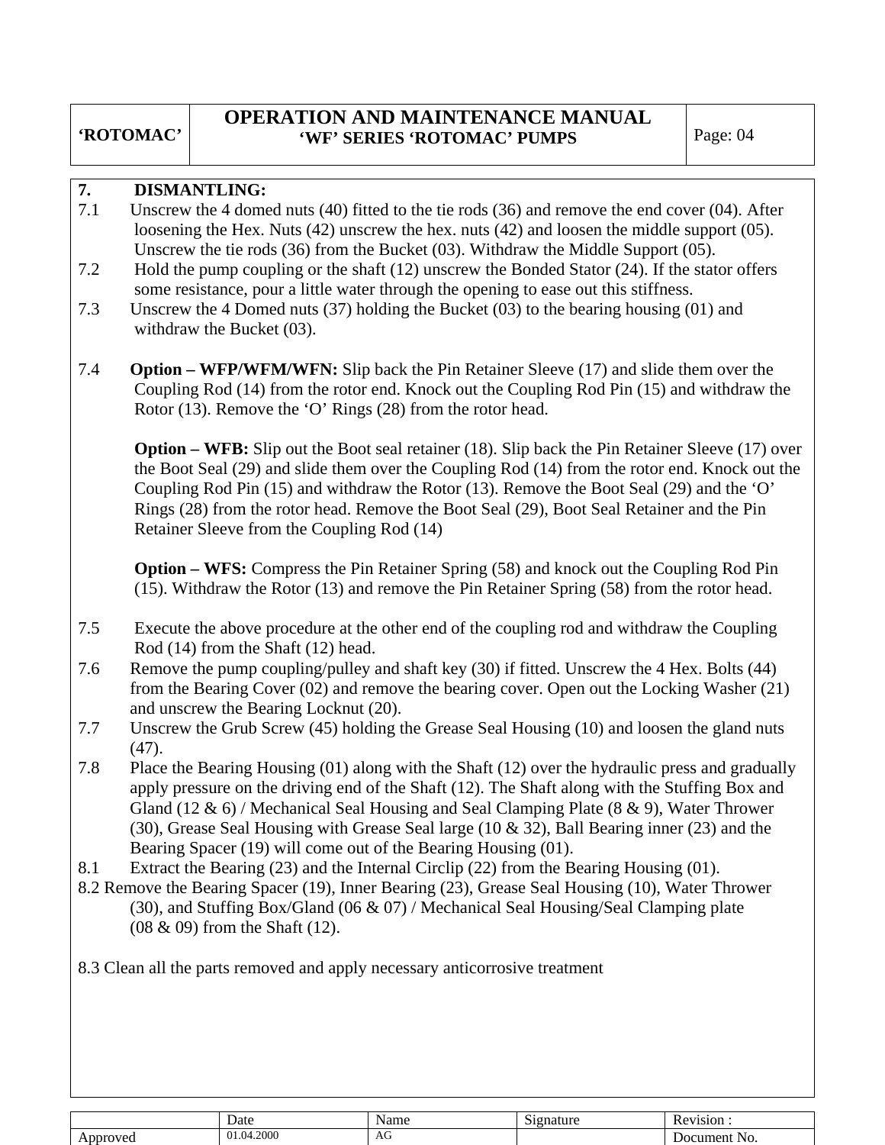# **OPERATION AND MAINTENANCE MANUAL 'WF' SERIES 'ROTOMAC' PUMPS** | Page: 04

### **7. DISMANTLING:**

- 7.1 Unscrew the 4 domed nuts (40) fitted to the tie rods (36) and remove the end cover (04). After loosening the Hex. Nuts (42) unscrew the hex. nuts (42) and loosen the middle support (05). Unscrew the tie rods (36) from the Bucket (03). Withdraw the Middle Support (05).
- 7.2 Hold the pump coupling or the shaft (12) unscrew the Bonded Stator (24). If the stator offers some resistance, pour a little water through the opening to ease out this stiffness.
- 7.3 Unscrew the 4 Domed nuts (37) holding the Bucket (03) to the bearing housing (01) and withdraw the Bucket (03).
- 7.4 **Option WFP/WFM/WFN:** Slip back the Pin Retainer Sleeve (17) and slide them over the Coupling Rod (14) from the rotor end. Knock out the Coupling Rod Pin (15) and withdraw the Rotor (13). Remove the 'O' Rings (28) from the rotor head.

 **Option – WFB:** Slip out the Boot seal retainer (18). Slip back the Pin Retainer Sleeve (17) over the Boot Seal (29) and slide them over the Coupling Rod (14) from the rotor end. Knock out the Coupling Rod Pin (15) and withdraw the Rotor (13). Remove the Boot Seal (29) and the 'O' Rings (28) from the rotor head. Remove the Boot Seal (29), Boot Seal Retainer and the Pin Retainer Sleeve from the Coupling Rod (14)

 **Option – WFS:** Compress the Pin Retainer Spring (58) and knock out the Coupling Rod Pin (15). Withdraw the Rotor (13) and remove the Pin Retainer Spring (58) from the rotor head.

- 7.5 Execute the above procedure at the other end of the coupling rod and withdraw the Coupling Rod (14) from the Shaft (12) head.
- 7.6 Remove the pump coupling/pulley and shaft key (30) if fitted. Unscrew the 4 Hex. Bolts (44) from the Bearing Cover (02) and remove the bearing cover. Open out the Locking Washer (21) and unscrew the Bearing Locknut (20).
- 7.7 Unscrew the Grub Screw (45) holding the Grease Seal Housing (10) and loosen the gland nuts (47).
- 7.8 Place the Bearing Housing (01) along with the Shaft (12) over the hydraulic press and gradually apply pressure on the driving end of the Shaft (12). The Shaft along with the Stuffing Box and Gland (12  $\&$  6) / Mechanical Seal Housing and Seal Clamping Plate (8  $\&$  9), Water Thrower (30), Grease Seal Housing with Grease Seal large (10 & 32), Ball Bearing inner (23) and the Bearing Spacer (19) will come out of the Bearing Housing (01).
- 8.1 Extract the Bearing (23) and the Internal Circlip (22) from the Bearing Housing (01).
- 8.2 Remove the Bearing Spacer (19), Inner Bearing (23), Grease Seal Housing (10), Water Thrower (30), and Stuffing Box/Gland (06 & 07) / Mechanical Seal Housing/Seal Clamping plate (08 & 09) from the Shaft (12).

8.3 Clean all the parts removed and apply necessary anticorrosive treatment

|          | Date                             | Name | $\sim$<br>≀gnature<br>519°، | evision<br>Ke' |
|----------|----------------------------------|------|-----------------------------|----------------|
| Approved | 01.04.2000<br>$0.1.04$ $\degree$ | AU   |                             | Document No.   |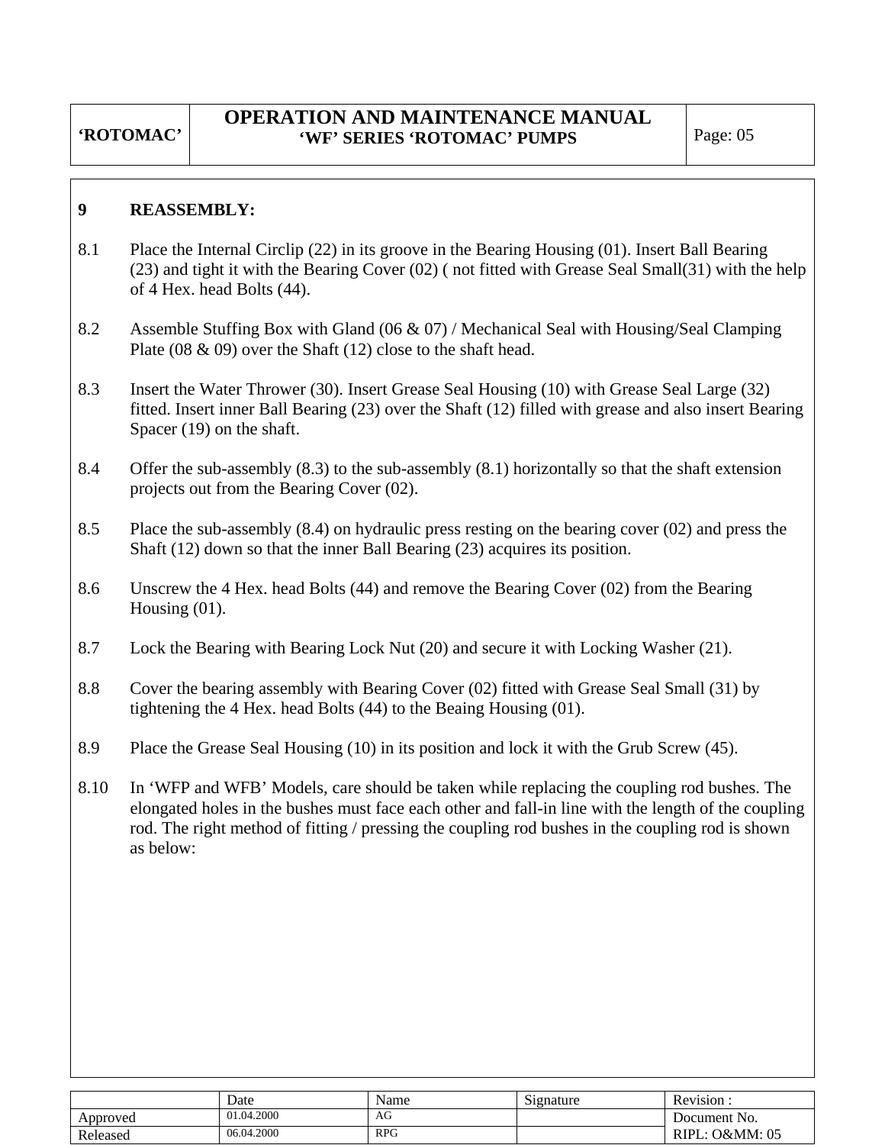### **9 REASSEMBLY:**

- 8.1 Place the Internal Circlip (22) in its groove in the Bearing Housing (01). Insert Ball Bearing (23) and tight it with the Bearing Cover (02) ( not fitted with Grease Seal Small(31) with the help of 4 Hex. head Bolts (44).
- 8.2 Assemble Stuffing Box with Gland (06 & 07) / Mechanical Seal with Housing/Seal Clamping Plate (08 & 09) over the Shaft (12) close to the shaft head.
- 8.3 Insert the Water Thrower (30). Insert Grease Seal Housing (10) with Grease Seal Large (32) fitted. Insert inner Ball Bearing (23) over the Shaft (12) filled with grease and also insert Bearing Spacer (19) on the shaft.
- 8.4 Offer the sub-assembly (8.3) to the sub-assembly (8.1) horizontally so that the shaft extension projects out from the Bearing Cover (02).
- 8.5 Place the sub-assembly (8.4) on hydraulic press resting on the bearing cover (02) and press the Shaft (12) down so that the inner Ball Bearing (23) acquires its position.
- 8.6 Unscrew the 4 Hex. head Bolts (44) and remove the Bearing Cover (02) from the Bearing Housing (01).
- 8.7 Lock the Bearing with Bearing Lock Nut (20) and secure it with Locking Washer (21).
- 8.8 Cover the bearing assembly with Bearing Cover (02) fitted with Grease Seal Small (31) by tightening the 4 Hex. head Bolts (44) to the Beaing Housing (01).
- 8.9 Place the Grease Seal Housing (10) in its position and lock it with the Grub Screw (45).
- 8.10 In 'WFP and WFB' Models, care should be taken while replacing the coupling rod bushes. The elongated holes in the bushes must face each other and fall-in line with the length of the coupling rod. The right method of fitting / pressing the coupling rod bushes in the coupling rod is shown as below:

|          | Date       | Name       | $\sim$<br>Signature | . .<br><b>D</b><br>Revision |
|----------|------------|------------|---------------------|-----------------------------|
| Approved | 01.04.2000 | AG         |                     | Document No.                |
| Released | 06.04.2000 | <b>RPG</b> |                     | O&MM: 05<br>RIPL.           |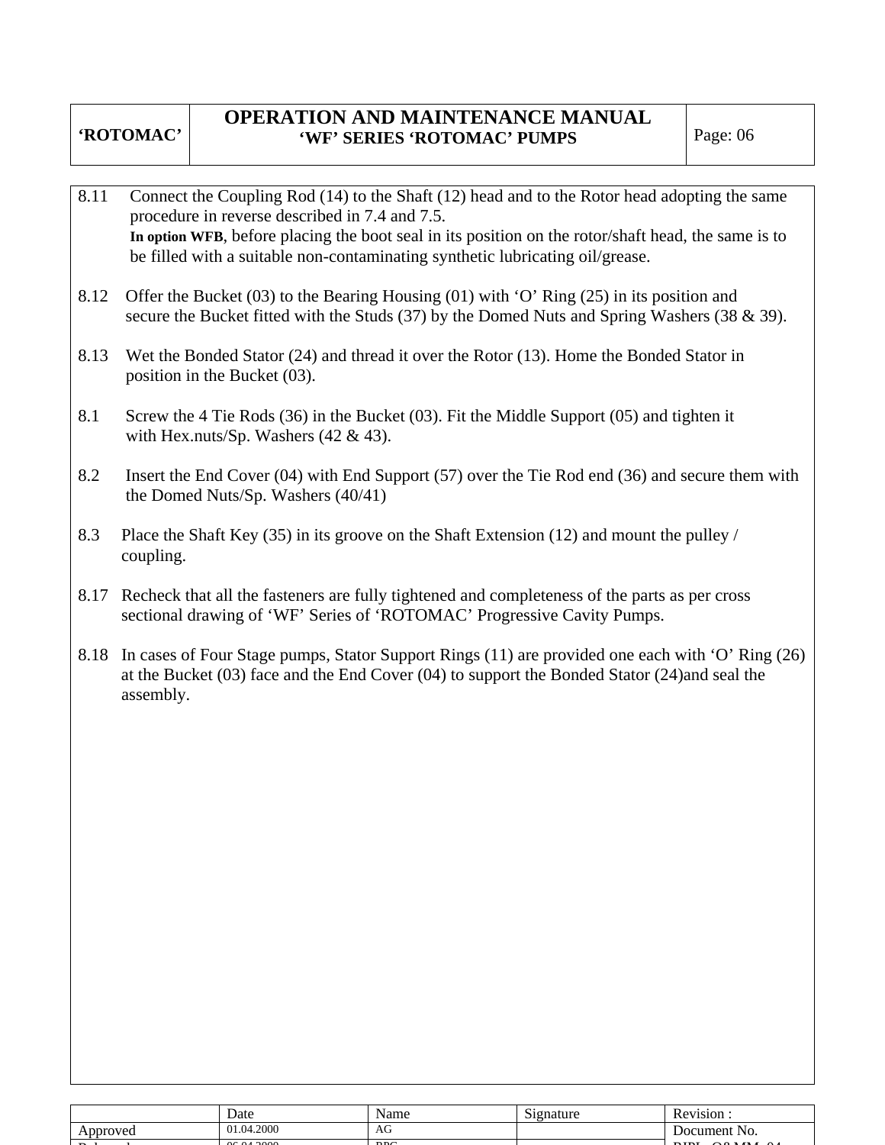# **OPERATION AND MAINTENANCE MANUAL 'WF' SERIES 'ROTOMAC' PUMPS** Page: 06

- 8.11 Connect the Coupling Rod (14) to the Shaft (12) head and to the Rotor head adopting the same procedure in reverse described in 7.4 and 7.5. **In option WFB**, before placing the boot seal in its position on the rotor/shaft head, the same is to be filled with a suitable non-contaminating synthetic lubricating oil/grease.
- 8.12 Offer the Bucket (03) to the Bearing Housing (01) with 'O' Ring (25) in its position and secure the Bucket fitted with the Studs (37) by the Domed Nuts and Spring Washers (38 & 39).
- 8.13 Wet the Bonded Stator (24) and thread it over the Rotor (13). Home the Bonded Stator in position in the Bucket (03).
- 8.1 Screw the 4 Tie Rods (36) in the Bucket (03). Fit the Middle Support (05) and tighten it with Hex.nuts/Sp. Washers  $(42 \& 43)$ .
- 8.2 Insert the End Cover (04) with End Support (57) over the Tie Rod end (36) and secure them with the Domed Nuts/Sp. Washers (40/41)
- 8.3 Place the Shaft Key (35) in its groove on the Shaft Extension (12) and mount the pulley / coupling.
- 8.17 Recheck that all the fasteners are fully tightened and completeness of the parts as per cross sectional drawing of 'WF' Series of 'ROTOMAC' Progressive Cavity Pumps.
- 8.18 In cases of Four Stage pumps, Stator Support Rings (11) are provided one each with 'O' Ring (26) at the Bucket (03) face and the End Cover (04) to support the Bonded Stator (24)and seal the assembly.

|               | Date                   | Name                           | $\sim$<br>Signature | <b>Revision</b>  |
|---------------|------------------------|--------------------------------|---------------------|------------------|
| Approved      | 01.04.2000             | $\overline{\phantom{a}}$<br>AG |                     | NO.<br>Document. |
| $\sim$ $\sim$ | 0< 0 <sub>1</sub> 2000 | P <sub>D</sub>                 |                     | $P_{\text{L}}$   |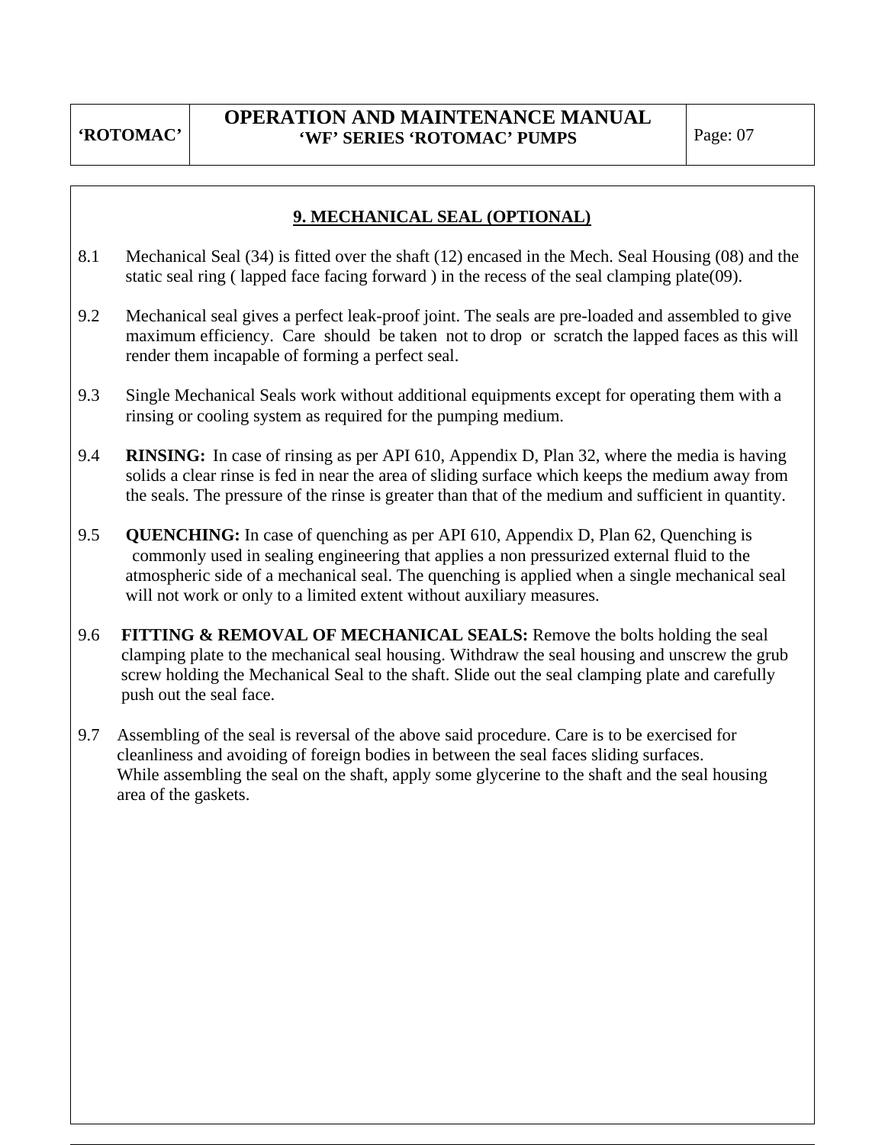# **9. MECHANICAL SEAL (OPTIONAL)**

- 8.1 Mechanical Seal (34) is fitted over the shaft (12) encased in the Mech. Seal Housing (08) and the static seal ring ( lapped face facing forward ) in the recess of the seal clamping plate(09).
- 9.2 Mechanical seal gives a perfect leak-proof joint. The seals are pre-loaded and assembled to give maximum efficiency. Care should be taken not to drop or scratch the lapped faces as this will render them incapable of forming a perfect seal.
- 9.3 Single Mechanical Seals work without additional equipments except for operating them with a rinsing or cooling system as required for the pumping medium.
- 9.4 **RINSING:** In case of rinsing as per API 610, Appendix D, Plan 32, where the media is having solids a clear rinse is fed in near the area of sliding surface which keeps the medium away from the seals. The pressure of the rinse is greater than that of the medium and sufficient in quantity.
- 9.5 **QUENCHING:** In case of quenching as per API 610, Appendix D, Plan 62, Quenching is commonly used in sealing engineering that applies a non pressurized external fluid to the atmospheric side of a mechanical seal. The quenching is applied when a single mechanical seal will not work or only to a limited extent without auxiliary measures.
- 9.6 **FITTING & REMOVAL OF MECHANICAL SEALS:** Remove the bolts holding the seal clamping plate to the mechanical seal housing. Withdraw the seal housing and unscrew the grub screw holding the Mechanical Seal to the shaft. Slide out the seal clamping plate and carefully push out the seal face.
- 9.7 Assembling of the seal is reversal of the above said procedure. Care is to be exercised for cleanliness and avoiding of foreign bodies in between the seal faces sliding surfaces. While assembling the seal on the shaft, apply some glycerine to the shaft and the seal housing area of the gaskets.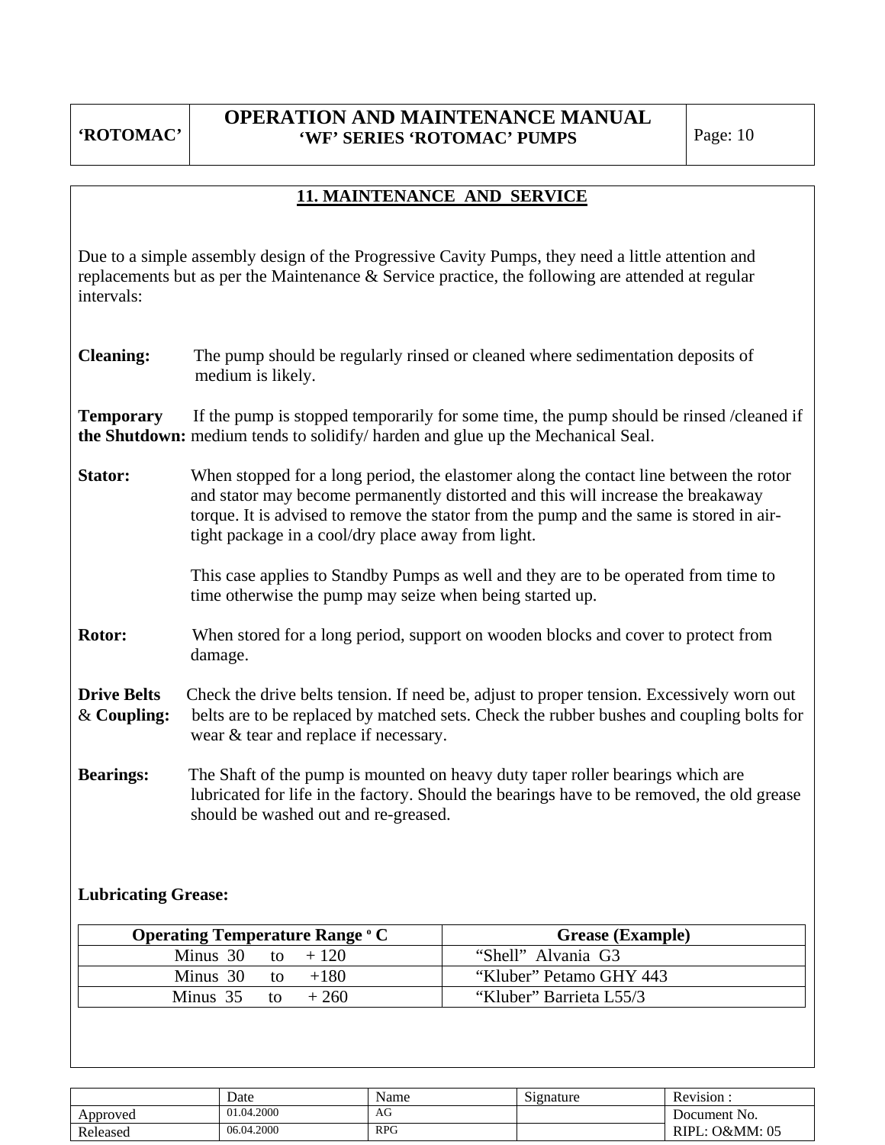# **11. MAINTENANCE AND SERVICE**

Due to a simple assembly design of the Progressive Cavity Pumps, they need a little attention and replacements but as per the Maintenance & Service practice, the following are attended at regular intervals:

**Cleaning:** The pump should be regularly rinsed or cleaned where sedimentation deposits of medium is likely.

**Temporary** If the pump is stopped temporarily for some time, the pump should be rinsed /cleaned if **the Shutdown:** medium tends to solidify/ harden and glue up the Mechanical Seal.

**Stator:** When stopped for a long period, the elastomer along the contact line between the rotor and stator may become permanently distorted and this will increase the breakaway torque. It is advised to remove the stator from the pump and the same is stored in air tight package in a cool/dry place away from light.

> This case applies to Standby Pumps as well and they are to be operated from time to time otherwise the pump may seize when being started up.

- **Rotor:** When stored for a long period, support on wooden blocks and cover to protect from damage.
- **Drive Belts** Check the drive belts tension. If need be, adjust to proper tension. Excessively worn out & **Coupling:** belts are to be replaced by matched sets. Check the rubber bushes and coupling bolts for wear & tear and replace if necessary.
- **Bearings:** The Shaft of the pump is mounted on heavy duty taper roller bearings which are lubricated for life in the factory. Should the bearings have to be removed, the old grease should be washed out and re-greased.

### **Lubricating Grease:**

| <b>Operating Temperature Range ° C</b> | <b>Grease (Example)</b> |
|----------------------------------------|-------------------------|
| Minus 30 to $+120$                     | "Shell" Alvania G3      |
| Minus 30 to $+180$                     | "Kluber" Petamo GHY 443 |
| Minus 35 to $+260$                     | "Kluber" Barrieta L55/3 |

|          | Date       | Name         | $\sim\cdot$<br>Signature | <b>D</b><br>Revision   |
|----------|------------|--------------|--------------------------|------------------------|
| Approved | 01.04.2000 | AG<br>$\sim$ |                          | Document No.           |
| Released | 06.04.2000 | <b>RPG</b>   |                          | : O&MM: 05<br>$RIPL$ : |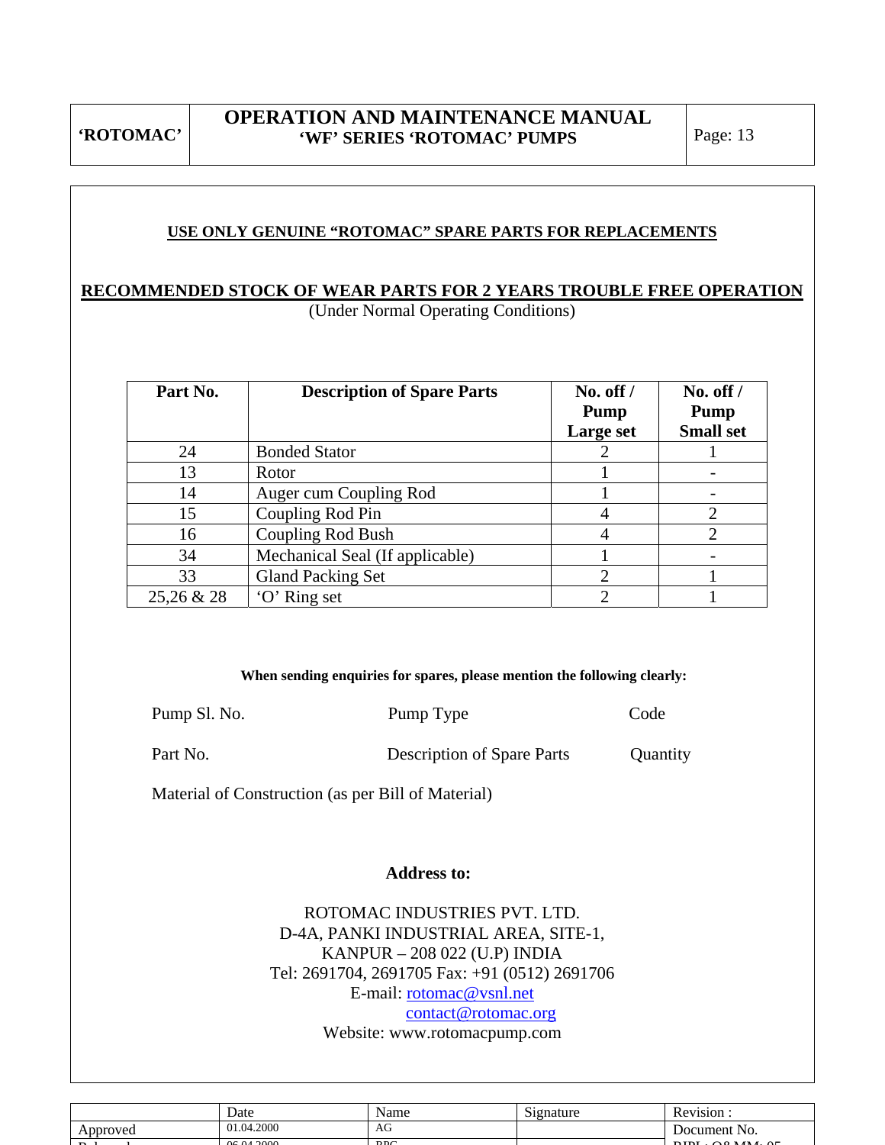### **USE ONLY GENUINE "ROTOMAC" SPARE PARTS FOR REPLACEMENTS**

# **RECOMMENDED STOCK OF WEAR PARTS FOR 2 YEARS TROUBLE FREE OPERATION**

(Under Normal Operating Conditions)

| Part No.   | <b>Description of Spare Parts</b> | $No.$ off $/$<br><b>Pump</b><br>Large set | No. off $/$<br>Pump<br><b>Small set</b> |
|------------|-----------------------------------|-------------------------------------------|-----------------------------------------|
| 24         | <b>Bonded Stator</b>              |                                           |                                         |
| 13         | Rotor                             |                                           |                                         |
| 14         | Auger cum Coupling Rod            |                                           |                                         |
| 15         | Coupling Rod Pin                  |                                           |                                         |
| 16         | <b>Coupling Rod Bush</b>          |                                           |                                         |
| 34         | Mechanical Seal (If applicable)   |                                           |                                         |
| 33         | <b>Gland Packing Set</b>          | ◠                                         |                                         |
| 25,26 & 28 | 'O' Ring set                      |                                           |                                         |

#### **When sending enquiries for spares, please mention the following clearly:**

| Pump Sl. No. | Pump Type                         | Code     |
|--------------|-----------------------------------|----------|
| Part No.     | <b>Description of Spare Parts</b> | Quantity |

Material of Construction (as per Bill of Material)

#### **Address to:**

ROTOMAC INDUSTRIES PVT. LTD. D-4A, PANKI INDUSTRIAL AREA, SITE-1, KANPUR – 208 022 (U.P) INDIA Tel: 2691704, 2691705 Fax: +91 (0512) 2691706 E-mail: rotomac@vsnl.net contact@rotomac.org Website: www.rotomacpump.com

|                | Date                   | Name | $\sim$<br>Signature | Revision:     |
|----------------|------------------------|------|---------------------|---------------|
| Approved       | 01.04.2000             | AG   |                     | Document No.  |
| $\mathbf{D}$ 1 | $0 \leq \theta_1$ 2000 | DDC  |                     | DIDL OQMAL QL |
|                |                        |      |                     |               |